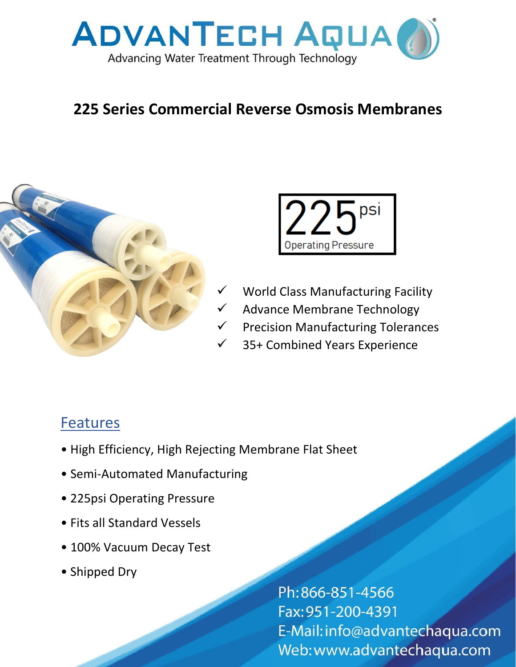

## **225 Series Commercial Reverse Osmosis Membranes**





- World Class Manufacturing Facility
- Advance Membrane Technology
- **Precision Manufacturing Tolerances**
- 35+ Combined Years Experience

## **Features**

- High Efficiency, High Rejecting Membrane Flat Sheet
- Semi-Automated Manufacturing
- 225psi Operating Pressure
- Fits all Standard Vessels
- 100% Vacuum Decay Test
- Shipped Dry

Ph:866-851-4566 Fax: 951-200-4391 E-Mail: info@advantechaqua.com Web:www.advantechaqua.com